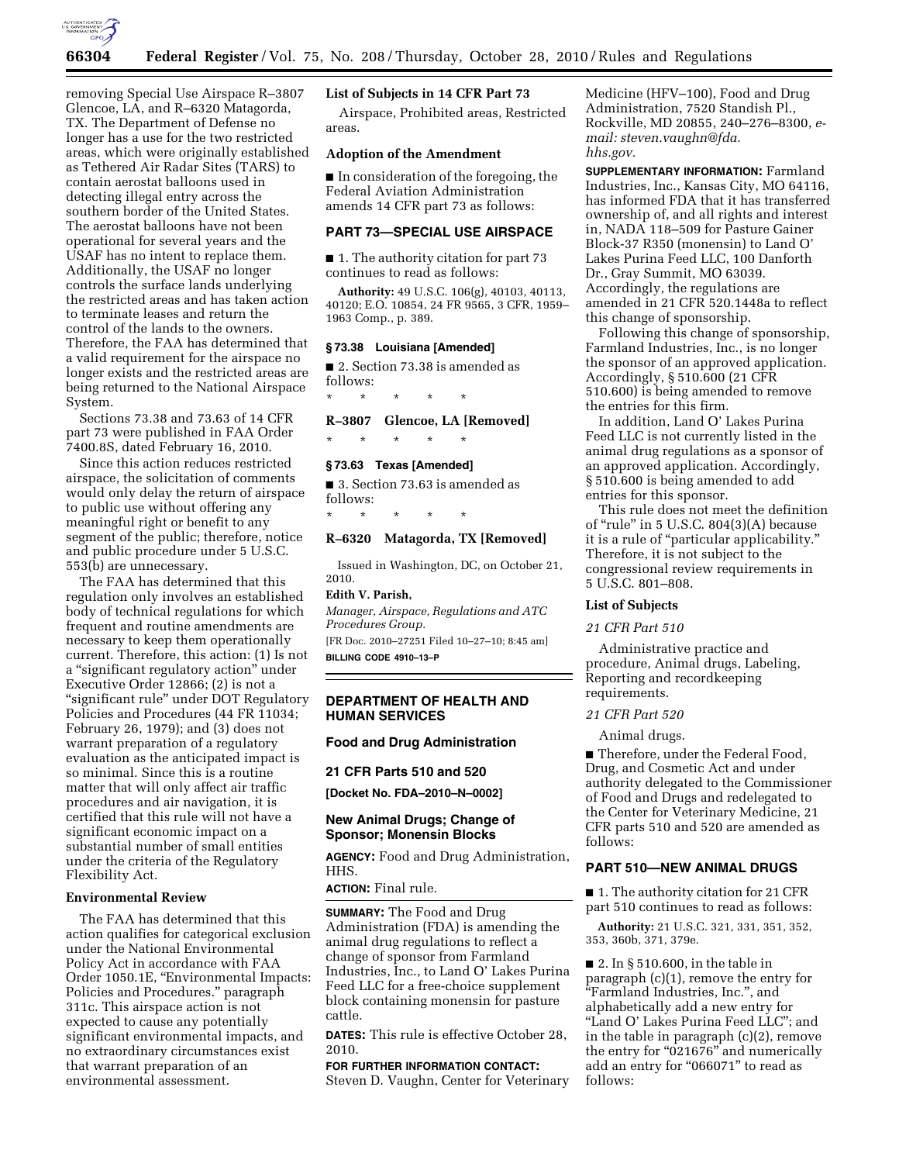

removing Special Use Airspace R–3807 Glencoe, LA, and R–6320 Matagorda, TX. The Department of Defense no longer has a use for the two restricted areas, which were originally established as Tethered Air Radar Sites (TARS) to contain aerostat balloons used in detecting illegal entry across the southern border of the United States. The aerostat balloons have not been operational for several years and the USAF has no intent to replace them. Additionally, the USAF no longer controls the surface lands underlying the restricted areas and has taken action to terminate leases and return the control of the lands to the owners. Therefore, the FAA has determined that a valid requirement for the airspace no longer exists and the restricted areas are being returned to the National Airspace System.

Sections 73.38 and 73.63 of 14 CFR part 73 were published in FAA Order 7400.8S, dated February 16, 2010.

Since this action reduces restricted airspace, the solicitation of comments would only delay the return of airspace to public use without offering any meaningful right or benefit to any segment of the public; therefore, notice and public procedure under 5 U.S.C. 553(b) are unnecessary.

The FAA has determined that this regulation only involves an established body of technical regulations for which frequent and routine amendments are necessary to keep them operationally current. Therefore, this action: (1) Is not a ''significant regulatory action'' under Executive Order 12866; (2) is not a ''significant rule'' under DOT Regulatory Policies and Procedures (44 FR 11034; February 26, 1979); and (3) does not warrant preparation of a regulatory evaluation as the anticipated impact is so minimal. Since this is a routine matter that will only affect air traffic procedures and air navigation, it is certified that this rule will not have a significant economic impact on a substantial number of small entities under the criteria of the Regulatory Flexibility Act.

### **Environmental Review**

The FAA has determined that this action qualifies for categorical exclusion under the National Environmental Policy Act in accordance with FAA Order 1050.1E, ''Environmental Impacts: Policies and Procedures.'' paragraph 311c. This airspace action is not expected to cause any potentially significant environmental impacts, and no extraordinary circumstances exist that warrant preparation of an environmental assessment.

#### **List of Subjects in 14 CFR Part 73**

Airspace, Prohibited areas, Restricted areas.

## **Adoption of the Amendment**

■ In consideration of the foregoing, the Federal Aviation Administration amends 14 CFR part 73 as follows:

## **PART 73—SPECIAL USE AIRSPACE**

■ 1. The authority citation for part 73 continues to read as follows:

**Authority:** 49 U.S.C. 106(g), 40103, 40113, 40120; E.O. 10854, 24 FR 9565, 3 CFR, 1959– 1963 Comp., p. 389.

#### **§ 73.38 Louisiana [Amended]**

■ 2. Section 73.38 is amended as follows:

\* \* \* \* \*

## **R–3807 Glencoe, LA [Removed]**

\* \* \* \* \*

### **§ 73.63 Texas [Amended]**

\* \* \* \* \*

■ 3. Section 73.63 is amended as follows:

#### **R–6320 Matagorda, TX [Removed]**

Issued in Washington, DC, on October 21, 2010.

## **Edith V. Parish,**

*Manager, Airspace, Regulations and ATC Procedures Group.*  [FR Doc. 2010–27251 Filed 10–27–10; 8:45 am]

**BILLING CODE 4910–13–P** 

## **DEPARTMENT OF HEALTH AND HUMAN SERVICES**

**Food and Drug Administration** 

#### **21 CFR Parts 510 and 520**

**[Docket No. FDA–2010–N–0002]** 

## **New Animal Drugs; Change of Sponsor; Monensin Blocks**

**AGENCY:** Food and Drug Administration, HHS.

**ACTION:** Final rule.

**SUMMARY:** The Food and Drug Administration (FDA) is amending the animal drug regulations to reflect a change of sponsor from Farmland Industries, Inc., to Land O' Lakes Purina Feed LLC for a free-choice supplement block containing monensin for pasture cattle.

**DATES:** This rule is effective October 28, 2010.

# **FOR FURTHER INFORMATION CONTACT:**

Steven D. Vaughn, Center for Veterinary

Medicine (HFV–100), Food and Drug Administration, 7520 Standish Pl., Rockville, MD 20855, 240–276–8300, *email: [steven.vaughn@fda.](mailto:steven.vaughn@fda.hhs.gov)  [hhs.gov.](mailto:steven.vaughn@fda.hhs.gov)* 

**SUPPLEMENTARY INFORMATION:** Farmland Industries, Inc., Kansas City, MO 64116, has informed FDA that it has transferred ownership of, and all rights and interest in, NADA 118–509 for Pasture Gainer Block-37 R350 (monensin) to Land O' Lakes Purina Feed LLC, 100 Danforth Dr., Gray Summit, MO 63039. Accordingly, the regulations are amended in 21 CFR 520.1448a to reflect this change of sponsorship.

Following this change of sponsorship, Farmland Industries, Inc., is no longer the sponsor of an approved application. Accordingly, § 510.600 (21 CFR 510.600) is being amended to remove the entries for this firm.

In addition, Land O' Lakes Purina Feed LLC is not currently listed in the animal drug regulations as a sponsor of an approved application. Accordingly, § 510.600 is being amended to add entries for this sponsor.

This rule does not meet the definition of "rule" in 5 U.S.C. 804(3)(A) because it is a rule of "particular applicability." Therefore, it is not subject to the congressional review requirements in 5 U.S.C. 801–808.

## **List of Subjects**

*21 CFR Part 510* 

Administrative practice and procedure, Animal drugs, Labeling, Reporting and recordkeeping requirements.

#### *21 CFR Part 520*

Animal drugs.

■ Therefore, under the Federal Food, Drug, and Cosmetic Act and under authority delegated to the Commissioner of Food and Drugs and redelegated to the Center for Veterinary Medicine, 21 CFR parts 510 and 520 are amended as follows:

#### **PART 510—NEW ANIMAL DRUGS**

■ 1. The authority citation for 21 CFR part 510 continues to read as follows:

**Authority:** 21 U.S.C. 321, 331, 351, 352, 353, 360b, 371, 379e.

■ 2. In § 510.600, in the table in paragraph (c)(1), remove the entry for ''Farmland Industries, Inc.'', and alphabetically add a new entry for "Land O' Lakes Purina Feed LLC"; and in the table in paragraph (c)(2), remove the entry for "021676" and numerically add an entry for "066071" to read as follows: